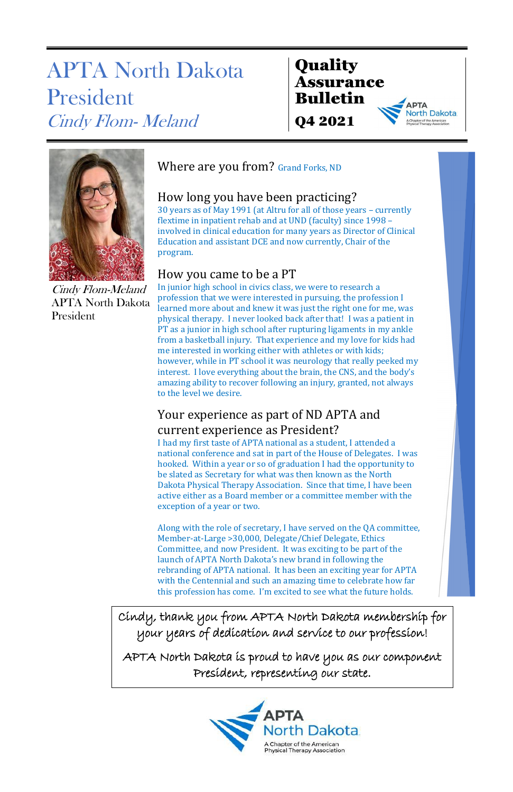### **Quality** Assurance Bulletin Q4 2021

**Jorth Dakota** 

# APTA North Dakota President Cindy Flom- Meland



Cindy Flom-Meland APTA North Dakota President

### Where are you from? Grand Forks, ND

### How long you have been practicing?

30 years as of May 1991 (at Altru for all of those years – currently flextime in inpatient rehab and at UND (faculty) since 1998 – involved in clinical education for many years as Director of Clinical Education and assistant DCE and now currently, Chair of the program.

#### How you came to be a PT

### Your experience as part of ND APTA and current experience as President?

In junior high school in civics class, we were to research a profession that we were interested in pursuing, the profession I learned more about and knew it was just the right one for me, was physical therapy. I never looked back after that! I was a patient in PT as a junior in high school after rupturing ligaments in my ankle from a basketball injury. That experience and my love for kids had me interested in working either with athletes or with kids; however, while in PT school it was neurology that really peeked my interest. I love everything about the brain, the CNS, and the body's amazing ability to recover following an injury, granted, not always to the level we desire.

I had my first taste of APTA national as a student, I attended a national conference and sat in part of the House of Delegates. I was hooked. Within a year or so of graduation I had the opportunity to be slated as Secretary for what was then known as the North Dakota Physical Therapy Association. Since that time, I have been active either as a Board member or a committee member with the exception of a year or two.

Along with the role of secretary, I have served on the QA committee, Member-at-Large >30,000, Delegate/Chief Delegate, Ethics Committee, and now President. It was exciting to be part of the launch of APTA North Dakota's new brand in following the rebranding of APTA national. It has been an exciting year for APTA with the Centennial and such an amazing time to celebrate how far this profession has come. I'm excited to see what the future holds.

Cindy, thank you from APTA North Dakota membership for your years of dedication and service to our profession!

APTA North Dakota is proud to have you as our component President, representing our state.